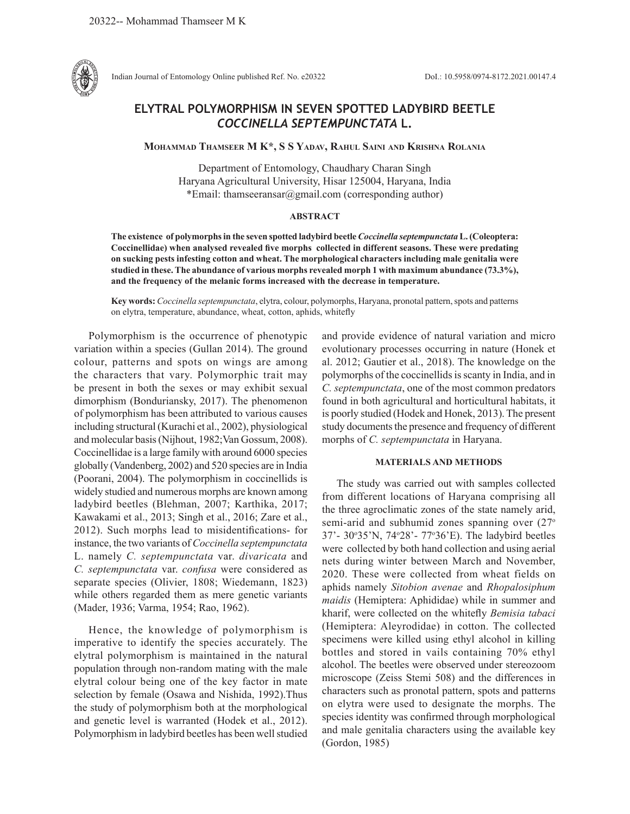

Indian Journal of Entomology Online published Ref. No. e20322 DoI.: 10.5958/0974-8172.2021.00147.4

# **ELYTRAL POLYMORPHISM IN SEVEN SPOTTED LADYBIRD BEETLE**  *COCCINELLA SEPTEMPUNCTATA* **L.**

**Mohammad Thamseer M K\*, S S Yadav, Rahul Saini and Krishna Rolania**

Department of Entomology, Chaudhary Charan Singh Haryana Agricultural University, Hisar 125004, Haryana, India \*Email: thamseeransar@gmail.com (corresponding author)

## **ABSTRACT**

**The existence of polymorphs in the seven spotted ladybird beetle** *Coccinella septempunctata* **L. (Coleoptera: Coccinellidae) when analysed revealed five morphs collected in different seasons. These were predating on sucking pests infesting cotton and wheat. The morphological characters including male genitalia were studied in these. The abundance of various morphs revealed morph 1 with maximum abundance (73.3%), and the frequency of the melanic forms increased with the decrease in temperature.** 

**Key words:** *Coccinella septempunctata*, elytra, colour, polymorphs, Haryana, pronotal pattern, spots and patterns on elytra, temperature, abundance, wheat, cotton, aphids, whitefly

Polymorphism is the occurrence of phenotypic variation within a species (Gullan 2014). The ground colour, patterns and spots on wings are among the characters that vary. Polymorphic trait may be present in both the sexes or may exhibit sexual dimorphism (Bonduriansky, 2017). The phenomenon of polymorphism has been attributed to various causes including structural (Kurachi et al., 2002), physiological and molecular basis (Nijhout, 1982;Van Gossum, 2008). Coccinellidae is a large family with around 6000 species globally (Vandenberg, 2002) and 520 species are in India (Poorani, 2004). The polymorphism in coccinellids is widely studied and numerous morphs are known among ladybird beetles (Blehman, 2007; Karthika, 2017; Kawakami et al., 2013; Singh et al., 2016; Zare et al., 2012). Such morphs lead to misidentifications- for instance, the two variants of *Coccinella septempunctata* L. namely *C. septempunctata* var. *divaricata* and *C. septempunctata* var. *confusa* were considered as separate species (Olivier, 1808; Wiedemann, 1823) while others regarded them as mere genetic variants (Mader, 1936; Varma, 1954; Rao, 1962).

Hence, the knowledge of polymorphism is imperative to identify the species accurately. The elytral polymorphism is maintained in the natural population through non-random mating with the male elytral colour being one of the key factor in mate selection by female (Osawa and Nishida, 1992).Thus the study of polymorphism both at the morphological and genetic level is warranted (Hodek et al., 2012). Polymorphism in ladybird beetles has been well studied and provide evidence of natural variation and micro evolutionary processes occurring in nature (Honek et al. 2012; Gautier et al., 2018). The knowledge on the polymorphs of the coccinellids is scanty in India, and in *C. septempunctata*, one of the most common predators found in both agricultural and horticultural habitats, it is poorly studied (Hodek and Honek, 2013). The present study documents the presence and frequency of different morphs of *C. septempunctata* in Haryana.

## **MATERIALS AND METHODS**

The study was carried out with samples collected from different locations of Haryana comprising all the three agroclimatic zones of the state namely arid, semi-arid and subhumid zones spanning over (27° 37'- 30°35'N, 74°28'- 77°36'E). The ladybird beetles were collected by both hand collection and using aerial nets during winter between March and November, 2020. These were collected from wheat fields on aphids namely *Sitobion avenae* and *Rhopalosiphum maidis* (Hemiptera: Aphididae) while in summer and kharif, were collected on the whitefly *Bemisia tabaci*  (Hemiptera: Aleyrodidae) in cotton. The collected specimens were killed using ethyl alcohol in killing bottles and stored in vails containing 70% ethyl alcohol. The beetles were observed under stereozoom microscope (Zeiss Stemi 508) and the differences in characters such as pronotal pattern, spots and patterns on elytra were used to designate the morphs. The species identity was confirmed through morphological and male genitalia characters using the available key (Gordon, 1985)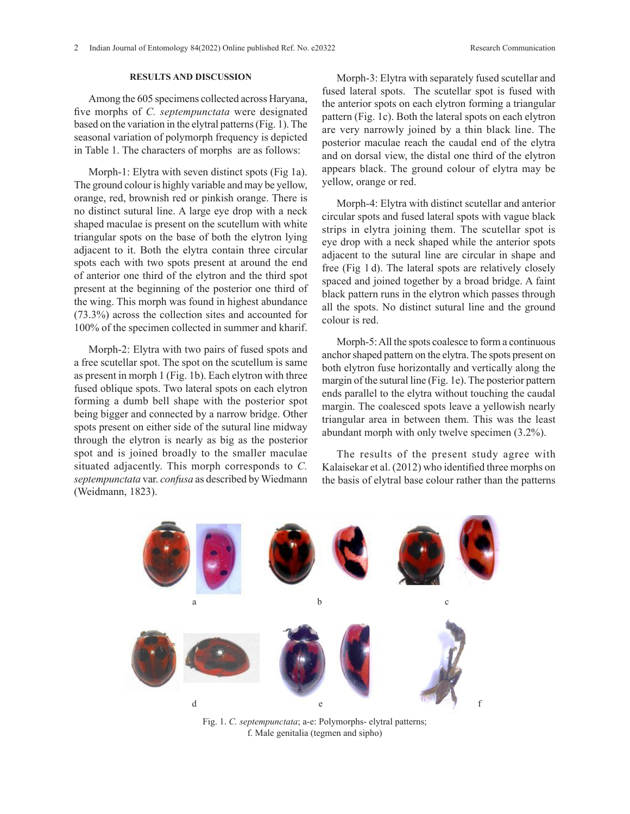# **RESULTS AND DISCUSSION**

Among the 605 specimens collected across Haryana, five morphs of *C. septempunctata* were designated based on the variation in the elytral patterns (Fig. 1). The seasonal variation of polymorph frequency is depicted in Table 1. The characters of morphs are as follows:

Morph-1: Elytra with seven distinct spots (Fig 1a). The ground colour is highly variable and may be yellow, orange, red, brownish red or pinkish orange. There is no distinct sutural line. A large eye drop with a neck shaped maculae is present on the scutellum with white triangular spots on the base of both the elytron lying adjacent to it. Both the elytra contain three circular spots each with two spots present at around the end of anterior one third of the elytron and the third spot present at the beginning of the posterior one third of the wing. This morph was found in highest abundance (73.3%) across the collection sites and accounted for 100% of the specimen collected in summer and kharif.

Morph-2: Elytra with two pairs of fused spots and a free scutellar spot. The spot on the scutellum is same as present in morph 1 (Fig. 1b). Each elytron with three fused oblique spots. Two lateral spots on each elytron forming a dumb bell shape with the posterior spot being bigger and connected by a narrow bridge. Other spots present on either side of the sutural line midway through the elytron is nearly as big as the posterior spot and is joined broadly to the smaller maculae situated adjacently. This morph corresponds to *C. septempunctata* var. *confusa* as described by Wiedmann (Weidmann, 1823).

Morph-3: Elytra with separately fused scutellar and fused lateral spots. The scutellar spot is fused with the anterior spots on each elytron forming a triangular pattern (Fig. 1c). Both the lateral spots on each elytron are very narrowly joined by a thin black line. The posterior maculae reach the caudal end of the elytra and on dorsal view, the distal one third of the elytron appears black. The ground colour of elytra may be yellow, orange or red.

Morph-4: Elytra with distinct scutellar and anterior circular spots and fused lateral spots with vague black strips in elytra joining them. The scutellar spot is eye drop with a neck shaped while the anterior spots adjacent to the sutural line are circular in shape and free (Fig 1 d). The lateral spots are relatively closely spaced and joined together by a broad bridge. A faint black pattern runs in the elytron which passes through all the spots. No distinct sutural line and the ground colour is red.

Morph-5: All the spots coalesce to form a continuous anchor shaped pattern on the elytra. The spots present on both elytron fuse horizontally and vertically along the margin of the sutural line (Fig. 1e). The posterior pattern ends parallel to the elytra without touching the caudal margin. The coalesced spots leave a yellowish nearly triangular area in between them. This was the least abundant morph with only twelve specimen (3.2%).

The results of the present study agree with Kalaisekar et al. (2012) who identified three morphs on the basis of elytral base colour rather than the patterns



Fig. 1. *C. septempunctata*; a-e: Polymorphs- elytral patterns; f. Male genitalia (tegmen and sipho)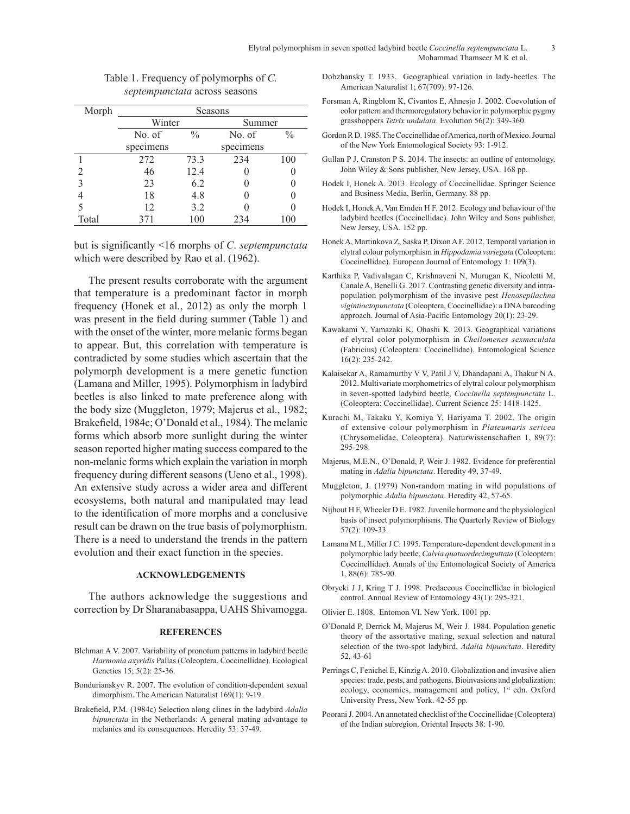| Morph | Seasons   |               |           |               |
|-------|-----------|---------------|-----------|---------------|
|       | Winter    |               | Summer    |               |
|       | No. of    | $\frac{0}{0}$ | No. of    | $\frac{0}{0}$ |
|       | specimens |               | specimens |               |
|       | 272       | 73.3          | 234       | 100           |
|       | 46        | 12.4          |           |               |
| 3     | 23        | 6.2           |           |               |
|       | 18        | 4.8           |           |               |
|       | 12        | 3.2           |           |               |
| Total | 371       | 100           | 234       | 100           |
|       |           |               |           |               |

Table 1. Frequency of polymorphs of *C. septempunctata* across seasons

but is significantly <16 morphs of *C*. *septempunctata* which were described by Rao et al. (1962).

The present results corroborate with the argument that temperature is a predominant factor in morph frequency (Honek et al., 2012) as only the morph 1 was present in the field during summer (Table 1) and with the onset of the winter, more melanic forms began to appear. But, this correlation with temperature is contradicted by some studies which ascertain that the polymorph development is a mere genetic function (Lamana and Miller, 1995). Polymorphism in ladybird beetles is also linked to mate preference along with the body size (Muggleton, 1979; Majerus et al., 1982; Brakefield, 1984c; O'Donald et al., 1984). The melanic forms which absorb more sunlight during the winter season reported higher mating success compared to the non-melanic forms which explain the variation in morph frequency during different seasons (Ueno et al., 1998). An extensive study across a wider area and different ecosystems, both natural and manipulated may lead to the identification of more morphs and a conclusive result can be drawn on the true basis of polymorphism. There is a need to understand the trends in the pattern evolution and their exact function in the species.

### **ACKNOWLEDGEMENTS**

The authors acknowledge the suggestions and correction by Dr Sharanabasappa, UAHS Shivamogga.

#### **REFERENCES**

- Blehman A V. 2007. Variability of pronotum patterns in ladybird beetle *Harmonia axyridis* Pallas (Coleoptera, Coccinellidae). Ecological Genetics 15; 5(2): 25-36.
- Bondurianskyv R. 2007. The evolution of condition-dependent sexual dimorphism. The American Naturalist 169(1): 9-19.
- Brakefield, P.M. (1984c) Selection along clines in the ladybird *Adalia bipunctata* in the Netherlands: A general mating advantage to melanics and its consequences. Heredity 53: 37-49.
- Dobzhansky T. 1933. Geographical variation in lady-beetles. The American Naturalist 1; 67(709): 97-126.
- Forsman A, Ringblom K, Civantos E, Ahnesjo J. 2002. Coevolution of color pattern and thermoregulatory behavior in polymorphic pygmy grasshoppers *Tetrix undulata*. Evolution 56(2): 349-360.
- Gordon R D. 1985. The Coccinellidae of America, north of Mexico.Journal of the New York Entomological Society 93: 1-912.
- Gullan P J, Cranston P S. 2014. The insects: an outline of entomology. John Wiley & Sons publisher, New Jersey, USA. 168 pp.
- Hodek I, Honek A. 2013. Ecology of Coccinellidae. Springer Science and Business Media, Berlin, Germany. 88 pp.
- Hodek I, Honek A, Van Emden H F. 2012. Ecology and behaviour of the ladybird beetles (Coccinellidae). John Wiley and Sons publisher, New Jersey, USA. 152 pp.
- Honek A, Martinkova Z, Saska P, Dixon A F. 2012. Temporal variation in elytral colour polymorphism in *Hippodamia variegata* (Coleoptera: Coccinellidae). European Journal of Entomology 1: 109(3).
- Karthika P, Vadivalagan C, Krishnaveni N, Murugan K, Nicoletti M, Canale A, Benelli G. 2017. Contrasting genetic diversity and intrapopulation polymorphism of the invasive pest *Henosepilachna vigintioctopunctata* (Coleoptera, Coccinellidae): a DNA barcoding approach. Journal of Asia-Pacific Entomology 20(1): 23-29.
- Kawakami Y, Yamazaki K, Ohashi K. 2013. Geographical variations of elytral color polymorphism in *Cheilomenes sexmaculata* (Fabricius) (Coleoptera: Coccinellidae). Entomological Science 16(2): 235-242.
- Kalaisekar A, Ramamurthy V V, Patil J V, Dhandapani A, Thakur N A. 2012. Multivariate morphometrics of elytral colour polymorphism in seven-spotted ladybird beetle, *Coccinella septempunctata* L. (Coleoptera: Coccinellidae). Current Science 25: 1418-1425.
- Kurachi M, Takaku Y, Komiya Y, Hariyama T. 2002. The origin of extensive colour polymorphism in *Plateumaris sericea* (Chrysomelidae, Coleoptera). Naturwissenschaften 1, 89(7): 295-298.
- Majerus, M.E.N., O'Donald, P, Weir J. 1982. Evidence for preferential mating in *Adalia bipunctata*. Heredity 49, 37-49.
- Muggleton, J. (1979) Non-random mating in wild populations of polymorphic *Adalia bipunctata*. Heredity 42, 57-65.
- Nijhout H F, Wheeler D E. 1982. Juvenile hormone and the physiological basis of insect polymorphisms. The Quarterly Review of Biology 57(2): 109-33.
- Lamana M L, Miller J C. 1995. Temperature-dependent development in a polymorphic lady beetle, *Calvia quatuordecimguttata* (Coleoptera: Coccinellidae). Annals of the Entomological Society of America 1, 88(6): 785-90.
- Obrycki J J, Kring T J. 1998. Predaceous Coccinellidae in biological control. Annual Review of Entomology 43(1): 295-321.
- Olivier E. 1808. Entomon VI. New York. 1001 pp.
- O'Donald P, Derrick M, Majerus M, Weir J. 1984. Population genetic theory of the assortative mating, sexual selection and natural selection of the two-spot ladybird, *Adalia bipunctata*. Heredity 52, 43-61
- Perrings C, Fenichel E, Kinzig A. 2010. Globalization and invasive alien species: trade, pests, and pathogens. Bioinvasions and globalization: ecology, economics, management and policy, 1<sup>st</sup> edn. Oxford University Press, New York. 42-55 pp.
- Poorani J. 2004. An annotated checklist of the Coccinellidae (Coleoptera) of the Indian subregion. Oriental Insects 38: 1-90.